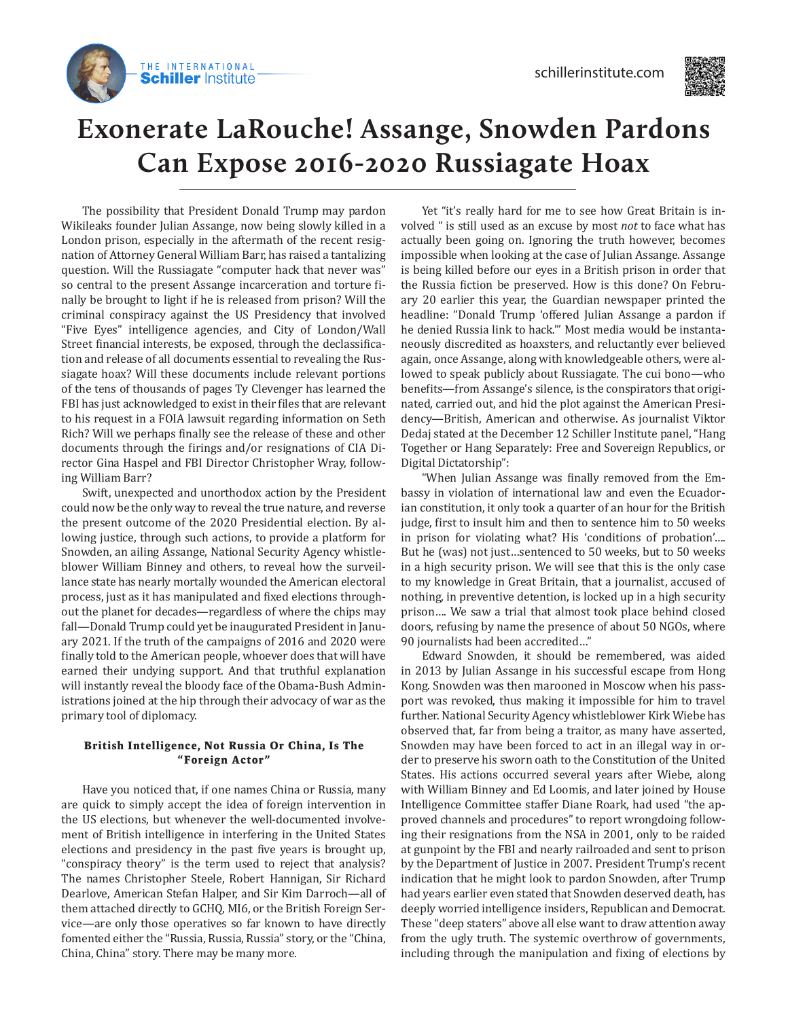

## **Exonerate LaRouche! Assange, Snowden Pardons Can Expose 2016-2020 Russiagate Hoax**

The possibility that President Donald Trump may pardon Wikileaks founder Julian Assange, now being slowly killed in a London prison, especially in the aftermath of the recent resignation of Attorney General William Barr, has raised a tantalizing question. Will the Russiagate "computer hack that never was" so central to the present Assange incarceration and torture finally be brought to light if he is released from prison? Will the criminal conspiracy against the US Presidency that involved "Five Eyes" intelligence agencies, and City of London/Wall Street financial interests, be exposed, through the declassification and release of all documents essential to revealing the Russiagate hoax? Will these documents include relevant portions of the tens of thousands of pages Ty Clevenger has learned the FBI has just acknowledged to exist in their files that are relevant to his request in a FOIA lawsuit regarding information on Seth Rich? Will we perhaps finally see the release of these and other documents through the firings and/or resignations of CIA Director Gina Haspel and FBI Director Christopher Wray, following William Barr?

Swift, unexpected and unorthodox action by the President could now be the only way to reveal the true nature, and reverse the present outcome of the 2020 Presidential election. By allowing justice, through such actions, to provide a platform for Snowden, an ailing Assange, National Security Agency whistleblower William Binney and others, to reveal how the surveillance state has nearly mortally wounded the American electoral process, just as it has manipulated and fixed elections throughout the planet for decades—regardless of where the chips may fall—Donald Trump could yet be inaugurated President in January 2021. If the truth of the campaigns of 2016 and 2020 were finally told to the American people, whoever does that will have earned their undying support. And that truthful explanation will instantly reveal the bloody face of the Obama-Bush Administrations joined at the hip through their advocacy of war as the primary tool of diplomacy.

## **British Intelligence, Not Russia Or China, Is The "Foreign Actor"**

Have you noticed that, if one names China or Russia, many are quick to simply accept the idea of foreign intervention in the US elections, but whenever the well-documented involvement of British intelligence in interfering in the United States elections and presidency in the past five years is brought up, "conspiracy theory" is the term used to reject that analysis? The names Christopher Steele, Robert Hannigan, Sir Richard Dearlove, American Stefan Halper, and Sir Kim Darroch—all of them attached directly to GCHQ, MI6, or the British Foreign Service—are only those operatives so far known to have directly fomented either the "Russia, Russia, Russia" story, or the "China, China, China" story. There may be many more.

Yet "it's really hard for me to see how Great Britain is involved " is still used as an excuse by most *not* to face what has actually been going on. Ignoring the truth however, becomes impossible when looking at the case of Julian Assange. Assange is being killed before our eyes in a British prison in order that the Russia fiction be preserved. How is this done? On February 20 earlier this year, the Guardian newspaper printed the headline: "Donald Trump 'offered Julian Assange a pardon if he denied Russia link to hack.'" Most media would be instantaneously discredited as hoaxsters, and reluctantly ever believed again, once Assange, along with knowledgeable others, were allowed to speak publicly about Russiagate. The cui bono—who benefits—from Assange's silence, is the conspirators that originated, carried out, and hid the plot against the American Presidency—British, American and otherwise. As journalist Viktor Dedaj stated at the December 12 Schiller Institute panel, "Hang Together or Hang Separately: Free and Sovereign Republics, or Digital Dictatorship":

"When Julian Assange was finally removed from the Embassy in violation of international law and even the Ecuadorian constitution, it only took a quarter of an hour for the British judge, first to insult him and then to sentence him to 50 weeks in prison for violating what? His 'conditions of probation'…. But he (was) not just…sentenced to 50 weeks, but to 50 weeks in a high security prison. We will see that this is the only case to my knowledge in Great Britain, that a journalist, accused of nothing, in preventive detention, is locked up in a high security prison…. We saw a trial that almost took place behind closed doors, refusing by name the presence of about 50 NGOs, where 90 journalists had been accredited…"

Edward Snowden, it should be remembered, was aided in 2013 by Julian Assange in his successful escape from Hong Kong. Snowden was then marooned in Moscow when his passport was revoked, thus making it impossible for him to travel further. National Security Agency whistleblower Kirk Wiebe has observed that, far from being a traitor, as many have asserted, Snowden may have been forced to act in an illegal way in order to preserve his sworn oath to the Constitution of the United States. His actions occurred several years after Wiebe, along with William Binney and Ed Loomis, and later joined by House Intelligence Committee staffer Diane Roark, had used "the approved channels and procedures" to report wrongdoing following their resignations from the NSA in 2001, only to be raided at gunpoint by the FBI and nearly railroaded and sent to prison by the Department of Justice in 2007. President Trump's recent indication that he might look to pardon Snowden, after Trump had years earlier even stated that Snowden deserved death, has deeply worried intelligence insiders, Republican and Democrat. These "deep staters" above all else want to draw attention away from the ugly truth. The systemic overthrow of governments, including through the manipulation and fixing of elections by